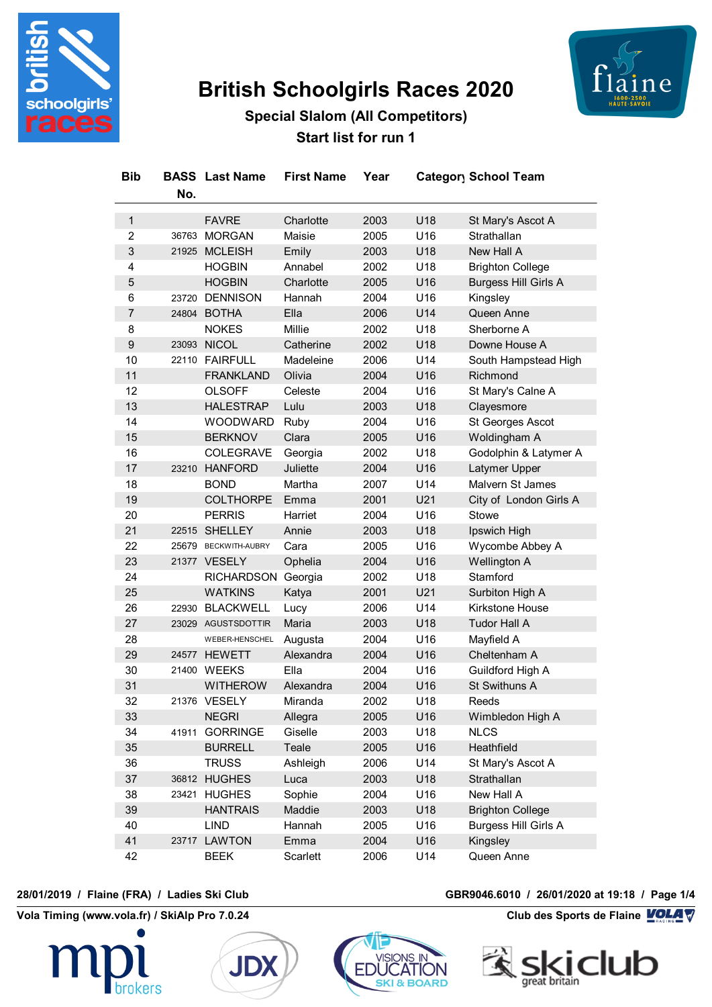

# **British Schoolgirls Races 2020**



# **Special Slalom (All Competitors) Start list for run 1**

| <b>Bib</b>       | No.   | <b>BASS</b> Last Name | <b>First Name</b> | Year |     | Category School Team        |
|------------------|-------|-----------------------|-------------------|------|-----|-----------------------------|
| $\mathbf{1}$     |       | <b>FAVRE</b>          | Charlotte         | 2003 | U18 | St Mary's Ascot A           |
| $\overline{c}$   |       | 36763 MORGAN          | Maisie            | 2005 | U16 | Strathallan                 |
| $\mathbf{3}$     |       | 21925 MCLEISH         | Emily             | 2003 | U18 | New Hall A                  |
| 4                |       | <b>HOGBIN</b>         | Annabel           | 2002 | U18 | <b>Brighton College</b>     |
| 5                |       | <b>HOGBIN</b>         | Charlotte         | 2005 | U16 | <b>Burgess Hill Girls A</b> |
| 6                |       | 23720 DENNISON        | Hannah            | 2004 | U16 | Kingsley                    |
| $\overline{7}$   |       | 24804 BOTHA           | Ella              | 2006 | U14 | Queen Anne                  |
| 8                |       | <b>NOKES</b>          | Millie            | 2002 | U18 | Sherborne A                 |
| $\boldsymbol{9}$ |       | 23093 NICOL           | Catherine         | 2002 | U18 | Downe House A               |
| 10               |       | 22110 FAIRFULL        | Madeleine         | 2006 | U14 | South Hampstead High        |
| 11               |       | <b>FRANKLAND</b>      | Olivia            | 2004 | U16 | Richmond                    |
| 12               |       | <b>OLSOFF</b>         | Celeste           | 2004 | U16 | St Mary's Calne A           |
| 13               |       | <b>HALESTRAP</b>      | Lulu              | 2003 | U18 | Clayesmore                  |
| 14               |       | <b>WOODWARD</b>       | Ruby              | 2004 | U16 | St Georges Ascot            |
| 15               |       | <b>BERKNOV</b>        | Clara             | 2005 | U16 | Woldingham A                |
| 16               |       | <b>COLEGRAVE</b>      | Georgia           | 2002 | U18 | Godolphin & Latymer A       |
| 17               |       | 23210 HANFORD         | Juliette          | 2004 | U16 | Latymer Upper               |
| 18               |       | <b>BOND</b>           | Martha            | 2007 | U14 | Malvern St James            |
| 19               |       | <b>COLTHORPE</b>      | Emma              | 2001 | U21 | City of London Girls A      |
| 20               |       | <b>PERRIS</b>         | Harriet           | 2004 | U16 | Stowe                       |
| 21               |       | 22515 SHELLEY         | Annie             | 2003 | U18 | Ipswich High                |
| 22               |       | 25679 BECKWITH-AUBRY  | Cara              | 2005 | U16 | Wycombe Abbey A             |
| 23               |       | 21377 VESELY          | Ophelia           | 2004 | U16 | Wellington A                |
| 24               |       | <b>RICHARDSON</b>     | Georgia           | 2002 | U18 | Stamford                    |
| 25               |       | <b>WATKINS</b>        | Katya             | 2001 | U21 | Surbiton High A             |
| 26               |       | 22930 BLACKWELL       | Lucy              | 2006 | U14 | <b>Kirkstone House</b>      |
| 27               |       | 23029 AGUSTSDOTTIR    | Maria             | 2003 | U18 | <b>Tudor Hall A</b>         |
| 28               |       | WEBER-HENSCHEL        | Augusta           | 2004 | U16 | Mayfield A                  |
| 29               |       | 24577 HEWETT          | Alexandra         | 2004 | U16 | Cheltenham A                |
| 30               |       | 21400 WEEKS           | Ella              | 2004 | U16 | Guildford High A            |
| 31               |       | <b>WITHEROW</b>       | Alexandra         | 2004 | U16 | St Swithuns A               |
| 32               |       | 21376 VESELY          | Miranda           | 2002 | U18 | Reeds                       |
| 33               |       | <b>NEGRI</b>          | Allegra           | 2005 | U16 | Wimbledon High A            |
| 34               | 41911 | <b>GORRINGE</b>       | Giselle           | 2003 | U18 | <b>NLCS</b>                 |
| 35               |       | <b>BURRELL</b>        | Teale             | 2005 | U16 | Heathfield                  |
| 36               |       | <b>TRUSS</b>          | Ashleigh          | 2006 | U14 | St Mary's Ascot A           |
| 37               |       | 36812 HUGHES          | Luca              | 2003 | U18 | Strathallan                 |
| 38               |       | 23421 HUGHES          | Sophie            | 2004 | U16 | New Hall A                  |
| 39               |       | <b>HANTRAIS</b>       | Maddie            | 2003 | U18 | <b>Brighton College</b>     |
| 40               |       | <b>LIND</b>           | Hannah            | 2005 | U16 | <b>Burgess Hill Girls A</b> |
| 41               |       | 23717 LAWTON          | Emma              | 2004 | U16 | Kingsley                    |
| 42               |       | <b>BEEK</b>           | Scarlett          | 2006 | U14 | Queen Anne                  |

**Vola Timing (www.vola.fr) / SkiAlp Pro 7.0.24 Club des Sports de Flaine VOLA V** 







### **28/01/2019 / Flaine (FRA) / Ladies Ski Club GBR9046.6010 / 26/01/2020 at 19:18 / Page 1/4**

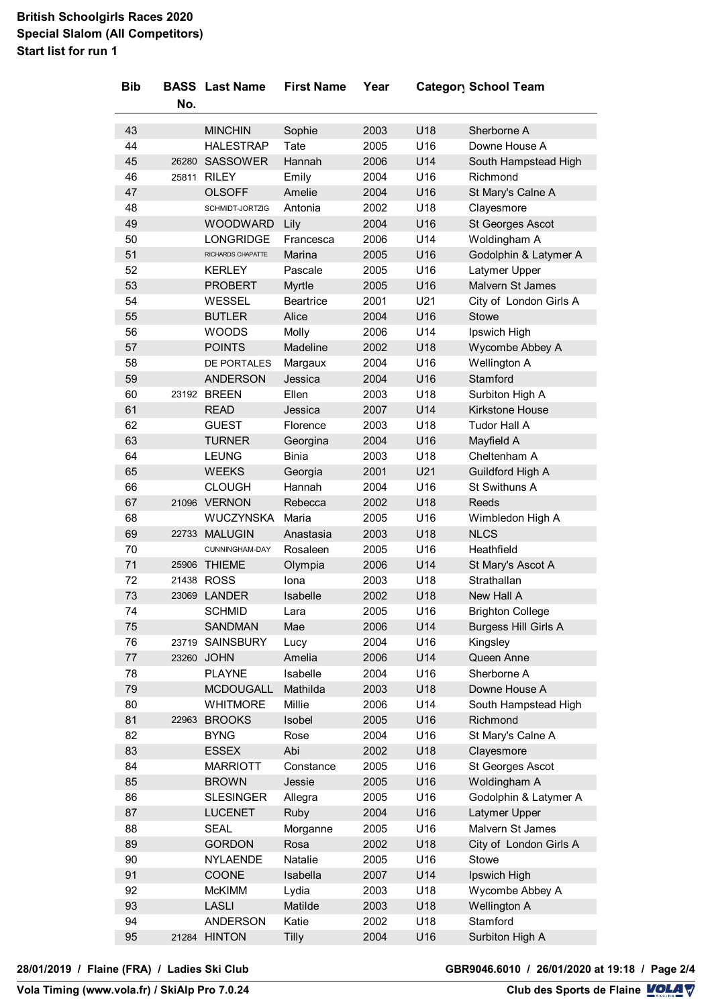# **British Schoolgirls Races 2020 Special Slalom (All Competitors) Start list for run 1**

| <b>Bib</b> |       | <b>BASS</b> Last Name | <b>First Name</b> | Year |                 | <b>Category School Team</b> |
|------------|-------|-----------------------|-------------------|------|-----------------|-----------------------------|
|            | No.   |                       |                   |      |                 |                             |
| 43         |       | <b>MINCHIN</b>        | Sophie            | 2003 | U18             | Sherborne A                 |
| 44         |       | <b>HALESTRAP</b>      | Tate              | 2005 | U16             | Downe House A               |
| 45         |       | 26280 SASSOWER        | Hannah            | 2006 | U14             | South Hampstead High        |
| 46         |       | 25811 RILEY           | Emily             | 2004 | U16             | Richmond                    |
| 47         |       | <b>OLSOFF</b>         | Amelie            | 2004 | U16             | St Mary's Calne A           |
| 48         |       | SCHMIDT-JORTZIG       | Antonia           | 2002 | U18             | Clayesmore                  |
| 49         |       | <b>WOODWARD</b>       | Lily              | 2004 | U16             | St Georges Ascot            |
| 50         |       | LONGRIDGE             | Francesca         | 2006 | U14             | Woldingham A                |
| 51         |       | RICHARDS CHAPATTE     | Marina            | 2005 | U16             | Godolphin & Latymer A       |
| 52         |       | <b>KERLEY</b>         | Pascale           | 2005 | U16             | Latymer Upper               |
| 53         |       | <b>PROBERT</b>        | Myrtle            | 2005 | U16             | Malvern St James            |
| 54         |       | WESSEL                | <b>Beartrice</b>  | 2001 | U21             | City of London Girls A      |
| 55         |       | <b>BUTLER</b>         | Alice             | 2004 | U16             | Stowe                       |
| 56         |       | <b>WOODS</b>          | Molly             | 2006 | U14             | Ipswich High                |
| 57         |       | <b>POINTS</b>         | Madeline          | 2002 | U18             | Wycombe Abbey A             |
| 58         |       | DE PORTALES           | Margaux           | 2004 | U16             | Wellington A                |
| 59         |       | <b>ANDERSON</b>       | Jessica           | 2004 | U16             | Stamford                    |
| 60         |       | 23192 BREEN           | Ellen             | 2003 | U18             | Surbiton High A             |
| 61         |       | <b>READ</b>           | Jessica           | 2007 | U14             | <b>Kirkstone House</b>      |
| 62         |       | <b>GUEST</b>          | Florence          | 2003 | U18             | Tudor Hall A                |
| 63         |       | <b>TURNER</b>         | Georgina          | 2004 | U16             | Mayfield A                  |
| 64         |       | <b>LEUNG</b>          | <b>Binia</b>      | 2003 | U18             | Cheltenham A                |
| 65         |       | <b>WEEKS</b>          | Georgia           | 2001 | U21             | Guildford High A            |
| 66         |       | <b>CLOUGH</b>         | Hannah            | 2004 | U16             | St Swithuns A               |
| 67         |       | 21096 VERNON          | Rebecca           | 2002 | U18             | Reeds                       |
| 68         |       | WUCZYNSKA             | Maria             | 2005 | U16             | Wimbledon High A            |
| 69         |       | 22733 MALUGIN         | Anastasia         | 2003 | U18             | <b>NLCS</b>                 |
| 70         |       | CUNNINGHAM-DAY        | Rosaleen          | 2005 | U16             | Heathfield                  |
| 71         |       | 25906 THIEME          | Olympia           | 2006 | U14             | St Mary's Ascot A           |
| 72         |       | 21438 ROSS            | Iona              | 2003 | U18             | Strathallan                 |
| 73         |       | 23069 LANDER          | Isabelle          | 2002 | U18             | New Hall A                  |
| 74         |       | <b>SCHMID</b>         | Lara              | 2005 | U <sub>16</sub> | Brighton College            |
| 75         |       | <b>SANDMAN</b>        | Mae               | 2006 | U14             | <b>Burgess Hill Girls A</b> |
| 76         | 23719 | <b>SAINSBURY</b>      | Lucy              | 2004 | U16             | Kingsley                    |
| 77         |       | 23260 JOHN            | Amelia            | 2006 | U14             | Queen Anne                  |
| 78         |       | <b>PLAYNE</b>         | Isabelle          | 2004 | U16             | Sherborne A                 |
| 79         |       | <b>MCDOUGALL</b>      | Mathilda          | 2003 | U18             | Downe House A               |
| 80         |       | <b>WHITMORE</b>       | Millie            | 2006 | U14             | South Hampstead High        |
| 81         | 22963 | <b>BROOKS</b>         | Isobel            | 2005 | U16             | Richmond                    |
| 82         |       | <b>BYNG</b>           | Rose              | 2004 | U16             | St Mary's Calne A           |
| 83         |       | <b>ESSEX</b>          | Abi               | 2002 | U18             | Clayesmore                  |
| 84         |       | <b>MARRIOTT</b>       | Constance         | 2005 | U16             | St Georges Ascot            |
| 85         |       | <b>BROWN</b>          | Jessie            | 2005 | U16             | Woldingham A                |
| 86         |       | <b>SLESINGER</b>      | Allegra           | 2005 | U16             | Godolphin & Latymer A       |
| 87         |       | <b>LUCENET</b>        | <b>Ruby</b>       | 2004 | U16             | Latymer Upper               |
| 88         |       | <b>SEAL</b>           | Morganne          | 2005 | U16             | Malvern St James            |
| 89         |       | <b>GORDON</b>         | Rosa              | 2002 | U18             | City of London Girls A      |
| 90         |       | <b>NYLAENDE</b>       | Natalie           | 2005 | U16             | Stowe                       |
| 91         |       | COONE                 | Isabella          | 2007 | U14             | Ipswich High                |
| 92         |       | <b>McKIMM</b>         | Lydia             | 2003 | U18             | Wycombe Abbey A             |
| 93         |       | <b>LASLI</b>          | Matilde           | 2003 | U18             | <b>Wellington A</b>         |
| 94         |       | <b>ANDERSON</b>       | Katie             | 2002 | U18             | Stamford                    |
| 95         |       | 21284 HINTON          | Tilly             | 2004 | U16             | Surbiton High A             |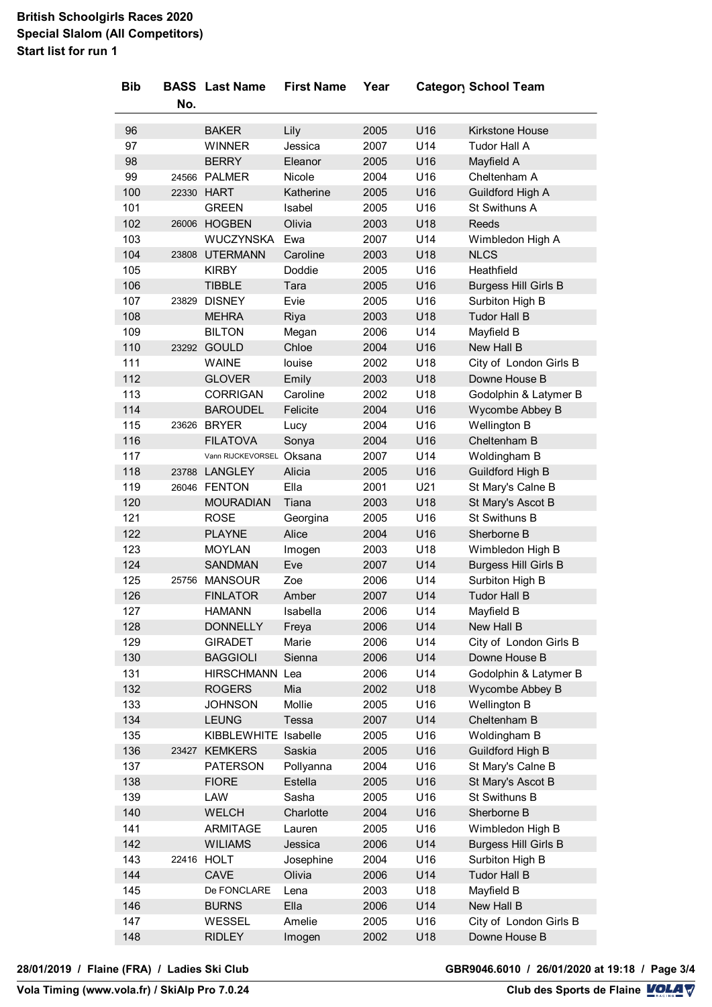# **British Schoolgirls Races 2020 Special Slalom (All Competitors) Start list for run 1**

| <b>Bib</b> | No.   | <b>BASS</b> Last Name | <b>First Name</b> | Year |     | Category School Team              |
|------------|-------|-----------------------|-------------------|------|-----|-----------------------------------|
| 96         |       | <b>BAKER</b>          | Lily              | 2005 | U16 | Kirkstone House                   |
| 97         |       | <b>WINNER</b>         | Jessica           | 2007 | U14 | Tudor Hall A                      |
| 98         |       | <b>BERRY</b>          | Eleanor           | 2005 | U16 | Mayfield A                        |
| 99         |       | 24566 PALMER          | Nicole            | 2004 | U16 | Cheltenham A                      |
| 100        |       | 22330 HART            | Katherine         | 2005 | U16 |                                   |
|            |       |                       | Isabel            |      |     | Guildford High A<br>St Swithuns A |
| 101        |       | <b>GREEN</b>          |                   | 2005 | U16 |                                   |
| 102        |       | 26006 HOGBEN          | Olivia            | 2003 | U18 | <b>Reeds</b>                      |
| 103        |       | WUCZYNSKA             | Ewa               | 2007 | U14 | Wimbledon High A                  |
| 104        | 23808 | <b>UTERMANN</b>       | Caroline          | 2003 | U18 | <b>NLCS</b>                       |
| 105        |       | <b>KIRBY</b>          | Doddie            | 2005 | U16 | Heathfield                        |
| 106        |       | <b>TIBBLE</b>         | Tara              | 2005 | U16 | <b>Burgess Hill Girls B</b>       |
| 107        |       | 23829 DISNEY          | Evie              | 2005 | U16 | Surbiton High B                   |
| 108        |       | <b>MEHRA</b>          | Riya              | 2003 | U18 | <b>Tudor Hall B</b>               |
| 109        |       | <b>BILTON</b>         | Megan             | 2006 | U14 | Mayfield B                        |
| 110        | 23292 | <b>GOULD</b>          | Chloe             | 2004 | U16 | New Hall B                        |
| 111        |       | <b>WAINE</b>          | louise            | 2002 | U18 | City of London Girls B            |
| 112        |       | <b>GLOVER</b>         | Emily             | 2003 | U18 | Downe House B                     |
| 113        |       | <b>CORRIGAN</b>       | Caroline          | 2002 | U18 | Godolphin & Latymer B             |
| 114        |       | <b>BAROUDEL</b>       | Felicite          | 2004 | U16 | Wycombe Abbey B                   |
| 115        |       | 23626 BRYER           | Lucy              | 2004 | U16 | Wellington B                      |
| 116        |       | <b>FILATOVA</b>       | Sonya             | 2004 | U16 | Cheltenham B                      |
| 117        |       | Vann RIJCKEVORSEL     | Oksana            | 2007 | U14 | Woldingham B                      |
| 118        |       | 23788 LANGLEY         | Alicia            | 2005 | U16 | Guildford High B                  |
| 119        |       | 26046 FENTON          | Ella              | 2001 | U21 | St Mary's Calne B                 |
| 120        |       | <b>MOURADIAN</b>      | Tiana             | 2003 | U18 | St Mary's Ascot B                 |
| 121        |       | <b>ROSE</b>           | Georgina          | 2005 | U16 | St Swithuns B                     |
| 122        |       | <b>PLAYNE</b>         | Alice             | 2004 | U16 | Sherborne B                       |
| 123        |       | <b>MOYLAN</b>         | Imogen            | 2003 | U18 | Wimbledon High B                  |
| 124        |       | <b>SANDMAN</b>        | Eve               | 2007 | U14 | <b>Burgess Hill Girls B</b>       |
| 125        |       | 25756 MANSOUR         | Zoe               | 2006 | U14 | Surbiton High B                   |
| 126        |       | <b>FINLATOR</b>       | Amber             | 2007 | U14 | <b>Tudor Hall B</b>               |
| 127        |       | <b>HAMANN</b>         | Isabella          | 2006 | U14 | Mayfield B                        |
| 128        |       | <b>DONNELLY</b>       | Freya             | 2006 | U14 | New Hall B                        |
| 129        |       | <b>GIRADET</b>        | Marie             | 2006 | U14 | City of London Girls B            |
| 130        |       | <b>BAGGIOLI</b>       | Sienna            | 2006 | U14 | Downe House B                     |
| 131        |       | <b>HIRSCHMANN</b>     | Lea               | 2006 | U14 | Godolphin & Latymer B             |
| 132        |       | <b>ROGERS</b>         | Mia               | 2002 | U18 | Wycombe Abbey B                   |
| 133        |       | <b>JOHNSON</b>        | Mollie            | 2005 | U16 | Wellington B                      |
| 134        |       | <b>LEUNG</b>          | Tessa             | 2007 | U14 | Cheltenham B                      |
| 135        |       | KIBBLEWHITE Isabelle  |                   | 2005 | U16 | Woldingham B                      |
| 136        |       | 23427 KEMKERS         | Saskia            | 2005 | U16 | Guildford High B                  |
| 137        |       | <b>PATERSON</b>       | Pollyanna         | 2004 | U16 | St Mary's Calne B                 |
| 138        |       | <b>FIORE</b>          | Estella           | 2005 | U16 | St Mary's Ascot B                 |
| 139        |       | LAW                   | Sasha             | 2005 | U16 | St Swithuns B                     |
| 140        |       | <b>WELCH</b>          | Charlotte         | 2004 | U16 | Sherborne B                       |
| 141        |       | ARMITAGE              | Lauren            | 2005 | U16 | Wimbledon High B                  |
| 142        |       | <b>WILIAMS</b>        | Jessica           | 2006 | U14 | <b>Burgess Hill Girls B</b>       |
| 143        |       | 22416 HOLT            | Josephine         | 2004 | U16 | Surbiton High B                   |
| 144        |       | CAVE                  | Olivia            | 2006 | U14 | <b>Tudor Hall B</b>               |
| 145        |       | De FONCLARE           | Lena              | 2003 | U18 | Mayfield B                        |
| 146        |       | <b>BURNS</b>          | Ella              | 2006 | U14 | New Hall B                        |
| 147        |       | WESSEL                | Amelie            | 2005 | U16 | City of London Girls B            |
| 148        |       | <b>RIDLEY</b>         | Imogen            | 2002 | U18 | Downe House B                     |